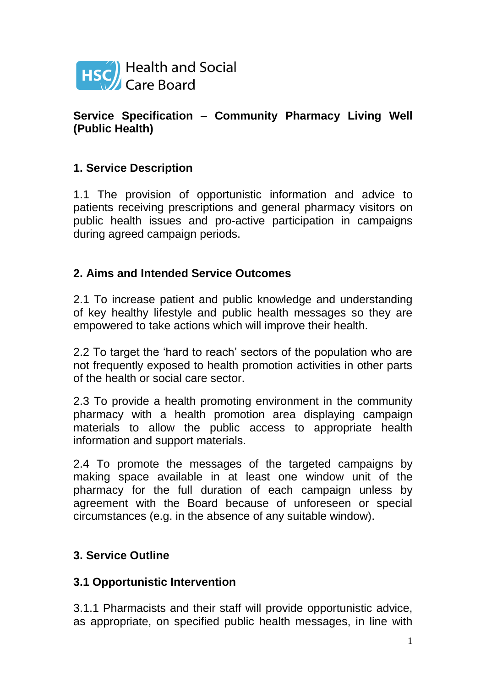

### **Service Specification – Community Pharmacy Living Well (Public Health)**

# **1. Service Description**

1.1 The provision of opportunistic information and advice to patients receiving prescriptions and general pharmacy visitors on public health issues and pro-active participation in campaigns during agreed campaign periods.

# **2. Aims and Intended Service Outcomes**

2.1 To increase patient and public knowledge and understanding of key healthy lifestyle and public health messages so they are empowered to take actions which will improve their health.

2.2 To target the 'hard to reach' sectors of the population who are not frequently exposed to health promotion activities in other parts of the health or social care sector.

2.3 To provide a health promoting environment in the community pharmacy with a health promotion area displaying campaign materials to allow the public access to appropriate health information and support materials.

2.4 To promote the messages of the targeted campaigns by making space available in at least one window unit of the pharmacy for the full duration of each campaign unless by agreement with the Board because of unforeseen or special circumstances (e.g. in the absence of any suitable window).

# **3. Service Outline**

#### **3.1 Opportunistic Intervention**

3.1.1 Pharmacists and their staff will provide opportunistic advice, as appropriate, on specified public health messages, in line with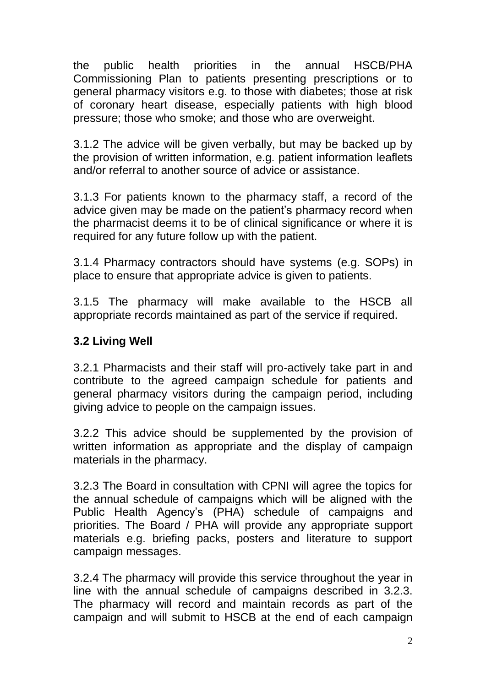the public health priorities in the annual HSCB/PHA Commissioning Plan to patients presenting prescriptions or to general pharmacy visitors e.g. to those with diabetes; those at risk of coronary heart disease, especially patients with high blood pressure; those who smoke; and those who are overweight.

3.1.2 The advice will be given verbally, but may be backed up by the provision of written information, e.g. patient information leaflets and/or referral to another source of advice or assistance.

3.1.3 For patients known to the pharmacy staff, a record of the advice given may be made on the patient's pharmacy record when the pharmacist deems it to be of clinical significance or where it is required for any future follow up with the patient.

3.1.4 Pharmacy contractors should have systems (e.g. SOPs) in place to ensure that appropriate advice is given to patients.

3.1.5 The pharmacy will make available to the HSCB all appropriate records maintained as part of the service if required.

### **3.2 Living Well**

3.2.1 Pharmacists and their staff will pro-actively take part in and contribute to the agreed campaign schedule for patients and general pharmacy visitors during the campaign period, including giving advice to people on the campaign issues.

3.2.2 This advice should be supplemented by the provision of written information as appropriate and the display of campaign materials in the pharmacy.

3.2.3 The Board in consultation with CPNI will agree the topics for the annual schedule of campaigns which will be aligned with the Public Health Agency's (PHA) schedule of campaigns and priorities. The Board / PHA will provide any appropriate support materials e.g. briefing packs, posters and literature to support campaign messages.

3.2.4 The pharmacy will provide this service throughout the year in line with the annual schedule of campaigns described in 3.2.3. The pharmacy will record and maintain records as part of the campaign and will submit to HSCB at the end of each campaign